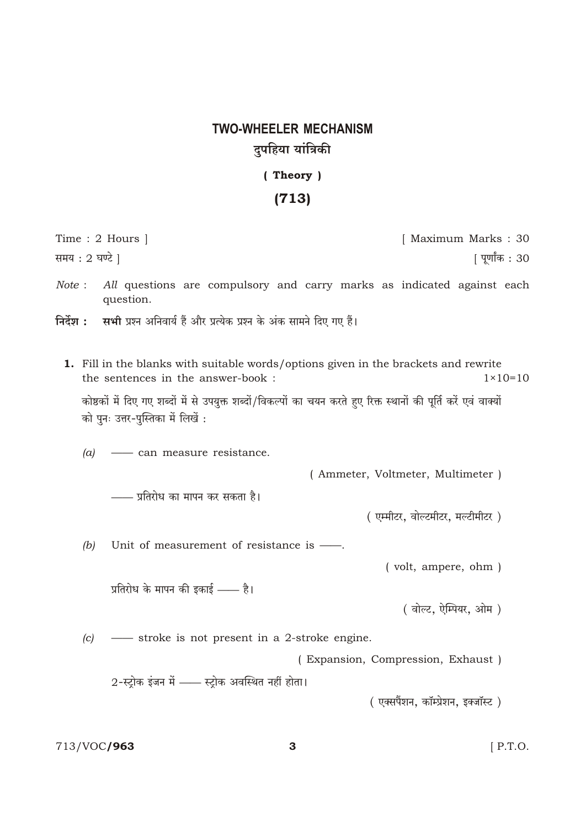## **TWO-WHEELER MECHANISM** दुपहिया यांत्रिकी

(Theory)

## $(713)$

| Time: 2 Hours                                                                                                                                            | [ Maximum Marks: 30               |
|----------------------------------------------------------------------------------------------------------------------------------------------------------|-----------------------------------|
| समय: 2 घण्टे                                                                                                                                             | पूर्णांक : 30                     |
| Note:<br>All questions are compulsory and carry marks as indicated against each<br>question.                                                             |                                   |
| सभी प्रश्न अनिवार्य हैं और प्रत्येक प्रश्न के अंक सामने दिए गए हैं।<br>निर्देश :                                                                         |                                   |
|                                                                                                                                                          |                                   |
| <b>1.</b> Fill in the blanks with suitable words/options given in the brackets and rewrite<br>the sentences in the answer-book :                         | $1 \times 10 = 10$                |
| कोष्ठकों में दिए गए शब्दों में से उपयुक्त शब्दों/विकल्पों का चयन करते हुए रिक्त स्थानों की पूर्ति करें एवं वाक्यों<br>को पुनः उत्तर-पुस्तिका में लिखें : |                                   |
| $(a)$ — can measure resistance.                                                                                                                          |                                   |
|                                                                                                                                                          | (Ammeter, Voltmeter, Multimeter)  |
| —— प्रतिरोध का मापन कर सकता है।                                                                                                                          |                                   |
|                                                                                                                                                          | (एम्मीटर, वोल्टमीटर, मल्टीमीटर)   |
| (b)<br>Unit of measurement of resistance is —                                                                                                            |                                   |
|                                                                                                                                                          | (volt, ampere, ohm)               |
| प्रतिरोध के मापन की इकाई —— है।                                                                                                                          |                                   |
|                                                                                                                                                          | (वोल्ट, ऐम्पियर, ओम)              |
| -Stroke is not present in a 2-stroke engine.<br>(c)                                                                                                      |                                   |
|                                                                                                                                                          | (Expansion, Compression, Exhaust) |
| 2-स्ट्रोक इंजन में —— स्ट्रोक अवस्थित नहीं होता।                                                                                                         |                                   |
|                                                                                                                                                          | (एक्सपैंशन, कॉम्प्रेशन, इक्जॉस्ट) |
|                                                                                                                                                          |                                   |

713/VOC/963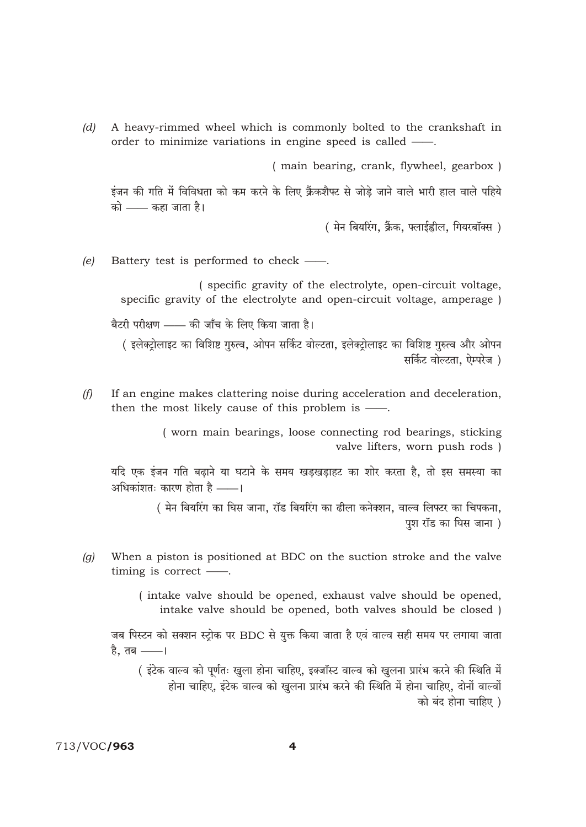$(d)$ A heavy-rimmed wheel which is commonly bolted to the crankshaft in order to minimize variations in engine speed is called —.

(main bearing, crank, flywheel, gearbox)

इंजन की गति में विविधता को कम करने के लिए क्रैंकशैफ्ट से जोड़े जाने वाले भारी हाल वाले पहिये को —— कहा जाता है।

( मेन बियरिंग, क्रैंक, फ्लाईह्वील, गियरबॉक्स)

Battery test is performed to check —.  $(e)$ 

> (specific gravity of the electrolyte, open-circuit voltage, specific gravity of the electrolyte and open-circuit voltage, amperage )

बैटरी परीक्षण —— की जाँच के लिए किया जाता है।

( इलेक्टोलाइट का विशिष्ट गुरुत्व, ओपन सर्किट वोल्टता, इलेक्टोलाइट का विशिष्ट गुरुत्व और ओपन सर्किट वोल्टता. ऐम्परेज)

 $(f)$ If an engine makes clattering noise during acceleration and deceleration, then the most likely cause of this problem is  $-$ 

> (worn main bearings, loose connecting rod bearings, sticking valve lifters, worn push rods)

यदि एक इंजन गति बढाने या घटाने के समय खडखडाहट का शोर करता है, तो इस समस्या का अधिकांशतः कारण होता है ——।

> ( मेन बियरिंग का घिस जाना, रॉड बियरिंग का ढीला कनेक्शन, वाल्व लिफ्टर का चिपकना, पश रॉड का घिस जाना)

When a piston is positioned at BDC on the suction stroke and the valve  $(g)$ timing is correct  $\_\_$ .

> (intake valve should be opened, exhaust valve should be opened, intake valve should be opened, both valves should be closed)

जब पिस्टन को सक्शन स्टोक पर BDC से युक्त किया जाता है एवं वाल्व सही समय पर लगाया जाता है. तब ——।

( इंटेक वाल्व को पूर्णतः खुला होना चाहिए, इक्जॉस्ट वाल्व को खुलना प्रारंभ करने की स्थिति में होना चाहिए. इंटेक वाल्व को खुलना प्रारंभ करने की स्थिति में होना चाहिए. दोनों वाल्वों को बंद होना चाहिए )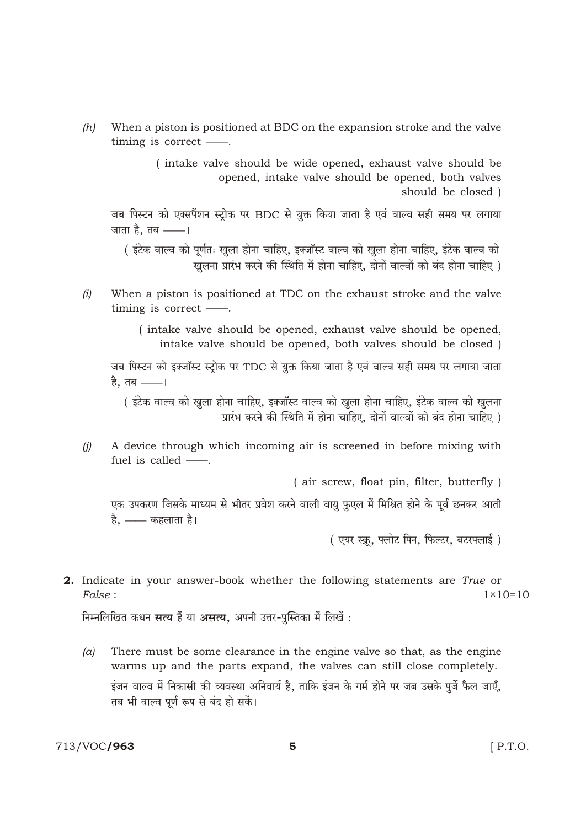$(h)$ When a piston is positioned at BDC on the expansion stroke and the valve timing is correct —

> (intake valve should be wide opened, exhaust valve should be opened, intake valve should be opened, both valves should be closed)

जब पिस्टन को एक्सपैंशन स्ट्रोक पर BDC से युक्त किया जाता है एवं वाल्व सही समय पर लगाया जाता है, तब ——।

( इंटेक वाल्व को पूर्णतः खुला होना चाहिए, इक्जॉस्ट वाल्व को खुला होना चाहिए, इंटेक वाल्व को खुलना प्रारंभ करने की स्थिति में होना चाहिए, दोनों वाल्वों को बंद होना चाहिए )

 $(i)$ When a piston is positioned at TDC on the exhaust stroke and the valve timing is correct  $\_\_$ .

> (intake valve should be opened, exhaust valve should be opened, intake valve should be opened, both valves should be closed)

जब पिस्टन को इक्जॉस्ट स्ट्रोक पर TDC से युक्त किया जाता है एवं वाल्व सही समय पर लगाया जाता है. तब ——।

( इंटेक वाल्व को खुला होना चाहिए, इक्जॉस्ट वाल्व को खुला होना चाहिए, इंटेक वाल्व को खुलना प्रारंभ करने की स्थिति में होना चाहिए. दोनों वाल्वों को बंद होना चाहिए )

 $(i)$ A device through which incoming air is screened in before mixing with fuel is called  $\frac{1}{\cdots}$ .

(air screw, float pin, filter, butterfly)

एक उपकरण जिसके माध्यम से भीतर प्रवेश करने वाली वायु फुएल में मिश्रित होने के पूर्व छनकर आती है, —— कहलाता है।

(एयर स्क्रू, फ्लोट पिन, फिल्टर, बटरफ्लाई)

**2.** Indicate in your answer-book whether the following statements are True or False:  $1 \times 10 = 10$ 

निम्नलिखित कथन सत्य हैं या असत्य. अपनी उत्तर-पस्तिका में लिखें :

 $(a)$ There must be some clearance in the engine valve so that, as the engine warms up and the parts expand, the valves can still close completely. .<br>इंजन वाल्व में निकासी की व्यवस्था अनिवार्य है. ताकि इंजन के गर्म होने पर जब उसके पर्जे फैल जाएँ. तब भी वाल्व पूर्ण रूप से बंद हो सकें।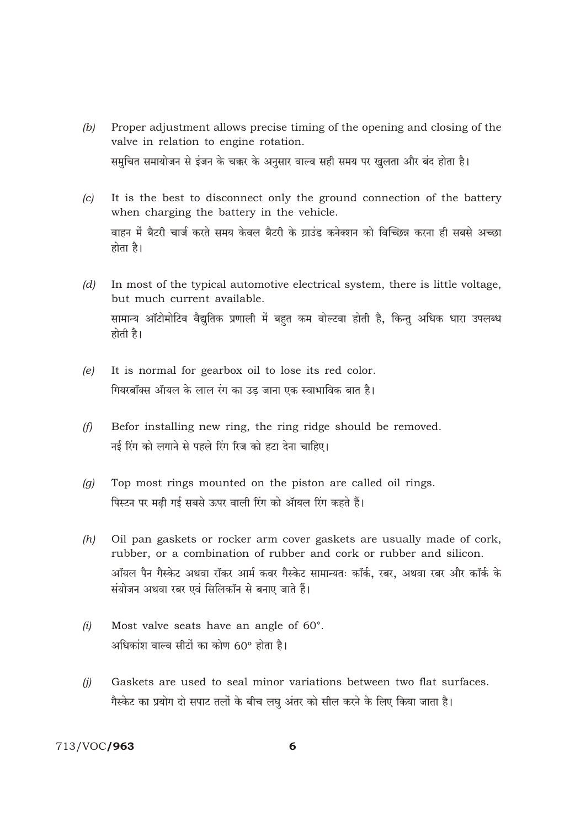- Proper adjustment allows precise timing of the opening and closing of the  $(b)$ valve in relation to engine rotation. समचित समायोजन से इंजन के चक्कर के अनसार वाल्व सही समय पर खुलता और बंद होता है।
- It is the best to disconnect only the ground connection of the battery  $(c)$ when charging the battery in the vehicle. वाहन में बैटरी चार्ज करते समय केवल बैटरी के ग्राउंड कनेक्शन को विच्छिन्न करना ही सबसे अच्छा होता है।
- $(d)$ In most of the typical automotive electrical system, there is little voltage, but much current available. सामान्य ऑटोमोटिव वैद्यतिक प्रणाली में बहुत कम वोल्टवा होती है. किन्तु अधिक धारा उपलब्ध होती है।
- It is normal for gearbox oil to lose its red color.  $(e)$ गियरबॉक्स ऑयल के लाल रंग का उड जाना एक स्वाभाविक बात है।
- $(f)$ Befor installing new ring, the ring ridge should be removed. नई रिंग को लगाने से पहले रिंग रिज को हटा देना चाहिए।
- Top most rings mounted on the piston are called oil rings.  $(a)$ पिस्टन पर मढ़ी गई सबसे ऊपर वाली रिंग को ऑयल रिंग कहते हैं।
- Oil pan gaskets or rocker arm cover gaskets are usually made of cork,  $(h)$ rubber, or a combination of rubber and cork or rubber and silicon. ऑयल पैन गैस्केट अथवा रॉकर आर्म कवर गैस्केट सामान्यतः कॉर्क, रबर, अथवा रबर और कॉर्क के संयोजन अथवा रबर एवं सिलिकॉन से बनाए जाते हैं।
- Most valve seats have an angle of 60°.  $(i)$ अधिकांश वाल्व सीटों का कोण 60° होता है।
- $(i)$ Gaskets are used to seal minor variations between two flat surfaces. गैस्केट का प्रयोग दो सपाट तलों के बीच लघु अंतर को सील करने के लिए किया जाता है।

## 713/VOC/963